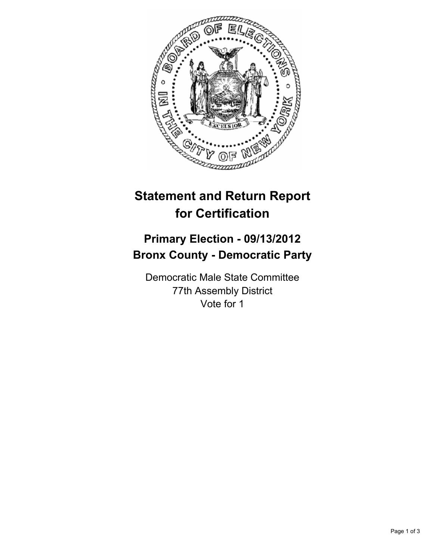

## **Statement and Return Report for Certification**

## **Primary Election - 09/13/2012 Bronx County - Democratic Party**

Democratic Male State Committee 77th Assembly District Vote for 1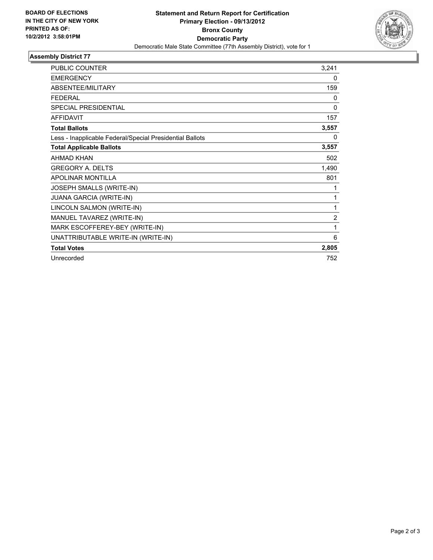

## **Assembly District 77**

| <b>PUBLIC COUNTER</b>                                    | 3,241          |
|----------------------------------------------------------|----------------|
| <b>EMERGENCY</b>                                         | 0              |
| ABSENTEE/MILITARY                                        | 159            |
| <b>FEDERAL</b>                                           | 0              |
| <b>SPECIAL PRESIDENTIAL</b>                              | $\mathbf{0}$   |
| <b>AFFIDAVIT</b>                                         | 157            |
| <b>Total Ballots</b>                                     | 3,557          |
| Less - Inapplicable Federal/Special Presidential Ballots | 0              |
| <b>Total Applicable Ballots</b>                          | 3,557          |
| <b>AHMAD KHAN</b>                                        | 502            |
| <b>GREGORY A. DELTS</b>                                  | 1,490          |
| <b>APOLINAR MONTILLA</b>                                 | 801            |
| <b>JOSEPH SMALLS (WRITE-IN)</b>                          | 1              |
| JUANA GARCIA (WRITE-IN)                                  | 1              |
| LINCOLN SALMON (WRITE-IN)                                | 1              |
| MANUEL TAVAREZ (WRITE-IN)                                | $\overline{2}$ |
| MARK ESCOFFEREY-BEY (WRITE-IN)                           | 1              |
| UNATTRIBUTABLE WRITE-IN (WRITE-IN)                       | 6              |
| <b>Total Votes</b>                                       | 2,805          |
| Unrecorded                                               | 752            |